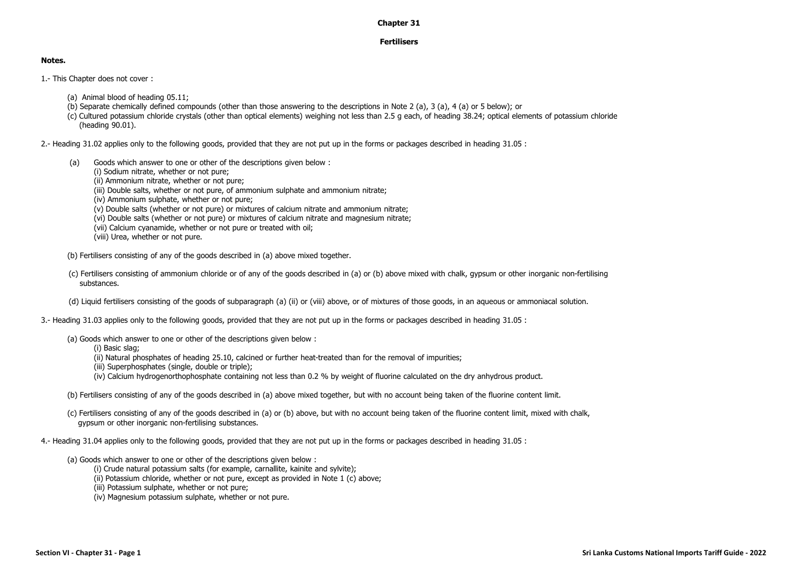## **Chapter 31**

## **Fertilisers**

## **Notes.**

- 1.- This Chapter does not cover :
	- (a) Animal blood of heading 05.11;
	- (b) Separate chemically defined compounds (other than those answering to the descriptions in Note 2 (a), 3 (a), 4 (a) or 5 below); or
	- (c) Cultured potassium chloride crystals (other than optical elements) weighing not less than 2.5 g each, of heading 38.24; optical elements of potassium chloride (heading 90.01).

2.- Heading 31.02 applies only to the following goods, provided that they are not put up in the forms or packages described in heading 31.05 :

- (a) Goods which answer to one or other of the descriptions given below :
	- (i) Sodium nitrate, whether or not pure;
	- (ii) Ammonium nitrate, whether or not pure;
	- (iii) Double salts, whether or not pure, of ammonium sulphate and ammonium nitrate;
	- (iv) Ammonium sulphate, whether or not pure;
	- (v) Double salts (whether or not pure) or mixtures of calcium nitrate and ammonium nitrate;
	- (vi) Double salts (whether or not pure) or mixtures of calcium nitrate and magnesium nitrate;
	- (vii) Calcium cyanamide, whether or not pure or treated with oil;
	- (viii) Urea, whether or not pure.
- (b) Fertilisers consisting of any of the goods described in (a) above mixed together.
- (c) Fertilisers consisting of ammonium chloride or of any of the goods described in (a) or (b) above mixed with chalk, gypsum or other inorganic non-fertilising substances.
- (d) Liquid fertilisers consisting of the goods of subparagraph (a) (ii) or (viii) above, or of mixtures of those goods, in an aqueous or ammoniacal solution.
- 3.- Heading 31.03 applies only to the following goods, provided that they are not put up in the forms or packages described in heading 31.05 :
	- (a) Goods which answer to one or other of the descriptions given below :
		- (i) Basic slag;
		- (ii) Natural phosphates of heading 25.10, calcined or further heat-treated than for the removal of impurities;
		- (iii) Superphosphates (single, double or triple);
		- (iv) Calcium hydrogenorthophosphate containing not less than 0.2 % by weight of fluorine calculated on the dry anhydrous product.
	- (b) Fertilisers consisting of any of the goods described in (a) above mixed together, but with no account being taken of the fluorine content limit.
	- (c) Fertilisers consisting of any of the goods described in (a) or (b) above, but with no account being taken of the fluorine content limit, mixed with chalk, gypsum or other inorganic non-fertilising substances.
- 4.- Heading 31.04 applies only to the following goods, provided that they are not put up in the forms or packages described in heading 31.05 :
	- (a) Goods which answer to one or other of the descriptions given below :
		- (i) Crude natural potassium salts (for example, carnallite, kainite and sylvite);
		- (ii) Potassium chloride, whether or not pure, except as provided in Note 1 (c) above;
		- (iii) Potassium sulphate, whether or not pure;
		- (iv) Magnesium potassium sulphate, whether or not pure.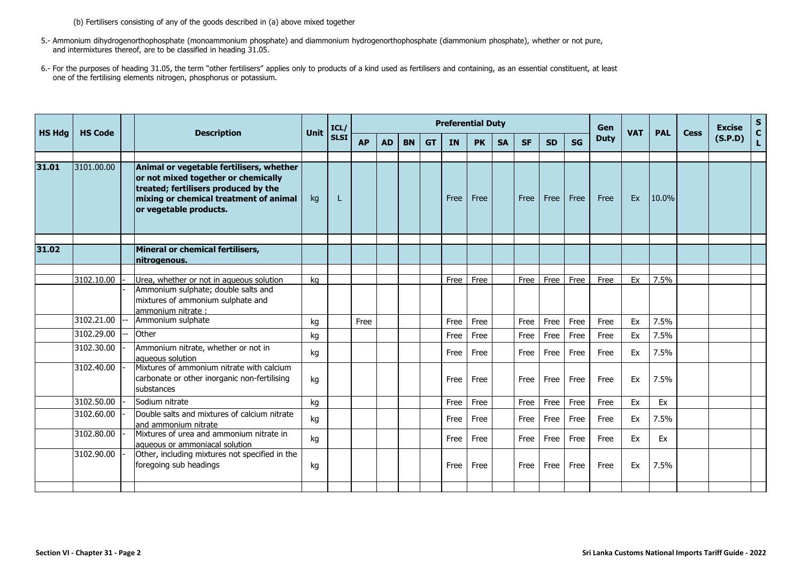(b) Fertilisers consisting of any of the goods described in (a) above mixed together

- 5.- Ammonium dihydrogenorthophosphate (monoammonium phosphate) and diammonium hydrogenorthophosphate (diammonium phosphate), whether or not pure, and intermixtures thereof, are to be classified in heading 31.05.
- 6.- For the purposes of heading 31.05, the term "other fertilisers" applies only to products of a kind used as fertilisers and containing, as an essential constituent, at least one of the fertilising elements nitrogen, phosphorus or potassium.

| <b>HS Hdg</b> | <b>HS Code</b> |  | <b>Description</b>                                                                                                                                                                          | <b>Unit</b> | ICL/        |           |           |           |           |           | <b>Preferential Duty</b> |           |           |           |           | Gen         | <b>VAT</b> | <b>PAL</b> |             | <b>Excise</b> | $S$<br>$C$   |
|---------------|----------------|--|---------------------------------------------------------------------------------------------------------------------------------------------------------------------------------------------|-------------|-------------|-----------|-----------|-----------|-----------|-----------|--------------------------|-----------|-----------|-----------|-----------|-------------|------------|------------|-------------|---------------|--------------|
|               |                |  |                                                                                                                                                                                             |             | <b>SLSI</b> | <b>AP</b> | <b>AD</b> | <b>BN</b> | <b>GT</b> | <b>IN</b> | <b>PK</b>                | <b>SA</b> | <b>SF</b> | <b>SD</b> | <b>SG</b> | <b>Duty</b> |            |            | <b>Cess</b> | (S.P.D)       | $\mathbf{L}$ |
| 31.01         | 3101.00.00     |  | Animal or vegetable fertilisers, whether<br>or not mixed together or chemically<br>treated; fertilisers produced by the<br>mixing or chemical treatment of animal<br>or vegetable products. | kg          | н           |           |           |           |           | Free      | Free                     |           | Free      | Free      | Free      | Free        | Ex         | 10.0%      |             |               |              |
| 31.02         |                |  | Mineral or chemical fertilisers,<br>nitrogenous.                                                                                                                                            |             |             |           |           |           |           |           |                          |           |           |           |           |             |            |            |             |               |              |
|               | 3102.10.00     |  | Urea, whether or not in aqueous solution<br>Ammonium sulphate; double salts and<br>mixtures of ammonium sulphate and<br>ammonium nitrate :                                                  | kg          |             |           |           |           |           | Free      | Free                     |           | Free      | Free      | Free      | Free        | Ex         | 7.5%       |             |               |              |
|               | 3102.21.00     |  | Ammonium sulphate                                                                                                                                                                           | kg          |             | Free      |           |           |           | Free      | Free                     |           | Free      | Free      | Free      | Free        | Ex         | 7.5%       |             |               |              |
|               | 3102.29.00     |  | Other                                                                                                                                                                                       | kg          |             |           |           |           |           | Free      | Free                     |           | Free      | Free      | Free      | Free        | Ex         | 7.5%       |             |               |              |
|               | 3102.30.00     |  | Ammonium nitrate, whether or not in<br>aqueous solution                                                                                                                                     | kg          |             |           |           |           |           | Free      | Free                     |           | Free      | Free      | Free      | Free        | Ex         | 7.5%       |             |               |              |
|               | 3102.40.00     |  | Mixtures of ammonium nitrate with calcium<br>carbonate or other inorganic non-fertilising<br>substances                                                                                     | kg          |             |           |           |           |           | Free      | Free                     |           | Free      | Free      | Free      | Free        | Ex         | 7.5%       |             |               |              |
|               | 3102.50.00     |  | Sodium nitrate                                                                                                                                                                              | kg          |             |           |           |           |           | Free      | Free                     |           | Free      | Free      | Free      | Free        | Ex         | Ex         |             |               |              |
|               | 3102.60.00     |  | Double salts and mixtures of calcium nitrate<br>and ammonium nitrate                                                                                                                        | kg          |             |           |           |           |           | Free      | Free                     |           | Free      | Free      | Free      | Free        | Ex         | 7.5%       |             |               |              |
|               | 3102.80.00     |  | Mixtures of urea and ammonium nitrate in<br>aqueous or ammoniacal solution                                                                                                                  | kg          |             |           |           |           |           | Free      | Free                     |           | Free      | Free      | Free      | Free        | Ex         | Ex         |             |               |              |
|               | 3102.90.00     |  | Other, including mixtures not specified in the<br>foregoing sub headings                                                                                                                    | kg          |             |           |           |           |           | Free      | Free                     |           | Free      | Free      | Free      | Free        | Ex         | 7.5%       |             |               |              |
|               |                |  |                                                                                                                                                                                             |             |             |           |           |           |           |           |                          |           |           |           |           |             |            |            |             |               |              |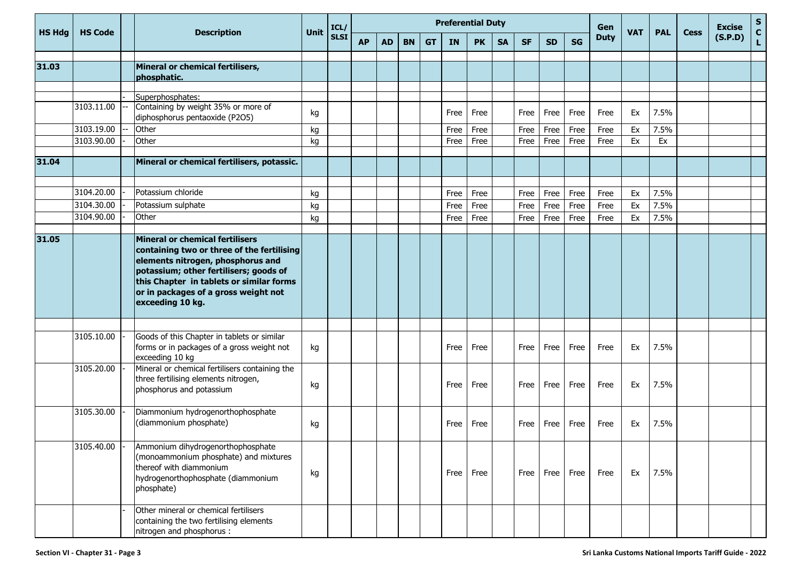| <b>HS Hdg</b> | <b>HS Code</b> | <b>Description</b>                                                                                                                                                                                                                                                          | Unit | ICL/        |           |           |           |           |           | <b>Preferential Duty</b> |           |           |           |           | Gen         | <b>VAT</b> | <b>PAL</b> | <b>Cess</b> | <b>Excise</b> | $\mathbf{s}$<br>$\mathbf{C}$ |
|---------------|----------------|-----------------------------------------------------------------------------------------------------------------------------------------------------------------------------------------------------------------------------------------------------------------------------|------|-------------|-----------|-----------|-----------|-----------|-----------|--------------------------|-----------|-----------|-----------|-----------|-------------|------------|------------|-------------|---------------|------------------------------|
|               |                |                                                                                                                                                                                                                                                                             |      | <b>SLSI</b> | <b>AP</b> | <b>AD</b> | <b>BN</b> | <b>GT</b> | <b>IN</b> | <b>PK</b>                | <b>SA</b> | <b>SF</b> | <b>SD</b> | <b>SG</b> | <b>Duty</b> |            |            |             | (S.P.D)       | L.                           |
| 31.03         |                | Mineral or chemical fertilisers,<br>phosphatic.                                                                                                                                                                                                                             |      |             |           |           |           |           |           |                          |           |           |           |           |             |            |            |             |               |                              |
|               |                |                                                                                                                                                                                                                                                                             |      |             |           |           |           |           |           |                          |           |           |           |           |             |            |            |             |               |                              |
|               | 3103.11.00     | Superphosphates:<br>Containing by weight 35% or more of<br>diphosphorus pentaoxide (P2O5)                                                                                                                                                                                   | kg   |             |           |           |           |           | Free      | Free                     |           | Free      | Free      | Free      | Free        | Ex         | 7.5%       |             |               |                              |
|               | 3103.19.00     | Other                                                                                                                                                                                                                                                                       | kg   |             |           |           |           |           | Free      | Free                     |           | Free      | Free      | Free      | Free        | Ex         | 7.5%       |             |               |                              |
|               | 3103.90.00     | Other                                                                                                                                                                                                                                                                       | kg   |             |           |           |           |           | Free      | Free                     |           | Free      | Free      | Free      | Free        | Ex         | Ex         |             |               |                              |
| 31.04         |                | Mineral or chemical fertilisers, potassic.                                                                                                                                                                                                                                  |      |             |           |           |           |           |           |                          |           |           |           |           |             |            |            |             |               |                              |
|               | 3104.20.00     | Potassium chloride                                                                                                                                                                                                                                                          | kg   |             |           |           |           |           | Free      | Free                     |           | Free      | Free      | Free      | Free        | Ex         | 7.5%       |             |               |                              |
|               | 3104.30.00     | Potassium sulphate                                                                                                                                                                                                                                                          | kg   |             |           |           |           |           | Free      | Free                     |           | Free      | Free      | Free      | Free        | Ex         | 7.5%       |             |               |                              |
|               | 3104.90.00     | Other                                                                                                                                                                                                                                                                       | kg   |             |           |           |           |           | Free      | Free                     |           | Free      | Free      | Free      | Free        | Ex         | 7.5%       |             |               |                              |
|               |                |                                                                                                                                                                                                                                                                             |      |             |           |           |           |           |           |                          |           |           |           |           |             |            |            |             |               |                              |
| 31.05         |                | <b>Mineral or chemical fertilisers</b><br>containing two or three of the fertilising<br>elements nitrogen, phosphorus and<br>potassium; other fertilisers; goods of<br>this Chapter in tablets or similar forms<br>or in packages of a gross weight not<br>exceeding 10 kg. |      |             |           |           |           |           |           |                          |           |           |           |           |             |            |            |             |               |                              |
|               | 3105.10.00     | Goods of this Chapter in tablets or similar                                                                                                                                                                                                                                 |      |             |           |           |           |           |           |                          |           |           |           |           |             |            |            |             |               |                              |
|               |                | forms or in packages of a gross weight not<br>exceeding 10 kg                                                                                                                                                                                                               | kg   |             |           |           |           |           | Free      | Free                     |           | Free      | Free      | Free      | Free        | Ex         | 7.5%       |             |               |                              |
|               | 3105.20.00     | Mineral or chemical fertilisers containing the<br>three fertilising elements nitrogen,<br>phosphorus and potassium                                                                                                                                                          | kg   |             |           |           |           |           | Free      | Free                     |           | Free      | Free      | Free      | Free        | Ex         | 7.5%       |             |               |                              |
|               | 3105.30.00     | Diammonium hydrogenorthophosphate<br>(diammonium phosphate)                                                                                                                                                                                                                 | kg   |             |           |           |           |           | Free      | Free                     |           | Free      | Free      | Free      | Free        | Ex         | 7.5%       |             |               |                              |
|               | 3105.40.00     | Ammonium dihydrogenorthophosphate<br>(monoammonium phosphate) and mixtures<br>thereof with diammonium<br>hydrogenorthophosphate (diammonium<br>phosphate)                                                                                                                   | kg   |             |           |           |           |           | Free      | Free                     |           | Free      | Free      | Free      | Free        | Ex         | 7.5%       |             |               |                              |
|               |                | Other mineral or chemical fertilisers<br>containing the two fertilising elements<br>nitrogen and phosphorus :                                                                                                                                                               |      |             |           |           |           |           |           |                          |           |           |           |           |             |            |            |             |               |                              |